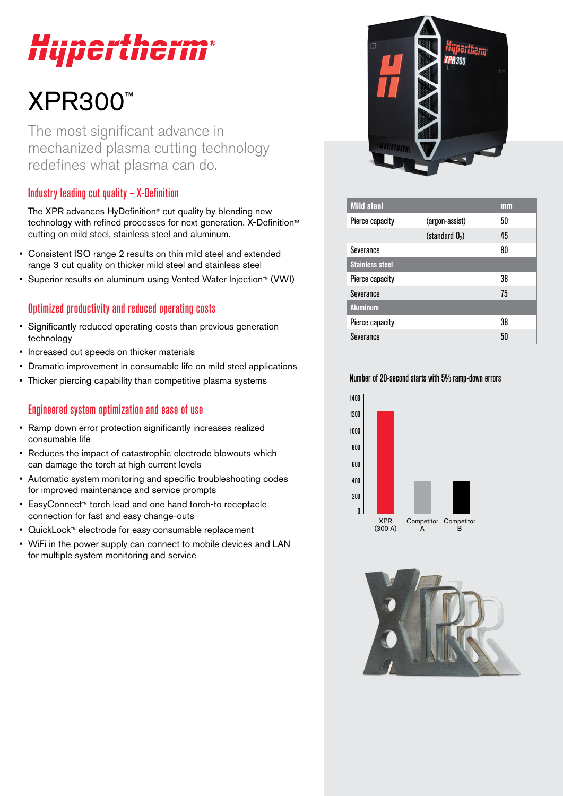# perthe

## XPR300™

The most significant advance in mechanized plasma cutting technology redefines what plasma can do.

### Industry leading cut quality – X-Definition

The XPR advances HyDefinition® cut quality by blending new technology with refined processes for next generation, X-Definition™ cutting on mild steel, stainless steel and aluminum.

- Consistent ISO range 2 results on thin mild steel and extended range 3 cut quality on thicker mild steel and stainless steel
- Superior results on aluminum using Vented Water Injection™ (VWI)

#### Optimized productivity and reduced operating costs

- Significantly reduced operating costs than previous generation technology
- Increased cut speeds on thicker materials
- Dramatic improvement in consumable life on mild steel applications
- Thicker piercing capability than competitive plasma systems

### Engineered system optimization and ease of use

- Ramp down error protection significantly increases realized consumable life
- Reduces the impact of catastrophic electrode blowouts which can damage the torch at high current levels
- Automatic system monitoring and specific troubleshooting codes for improved maintenance and service prompts
- EasyConnect™ torch lead and one hand torch-to receptacle connection for fast and easy change-outs
- QuickLock™ electrode for easy consumable replacement
- WiFi in the power supply can connect to mobile devices and LAN for multiple system monitoring and service



| <b>Mild steel</b>      |                  | mm |
|------------------------|------------------|----|
| Pierce capacity        | (argon-assist)   | 50 |
|                        | (standard $02$ ) | 45 |
| Severance              |                  | 80 |
| <b>Stainless steel</b> |                  |    |
| Pierce capacity        |                  | 38 |
| Severance              |                  | 75 |
| <b>Aluminum</b>        |                  |    |
| Pierce capacity        |                  | 38 |
| Severance              |                  | 50 |

#### Number of 20-second starts with 5% ramp-down errors